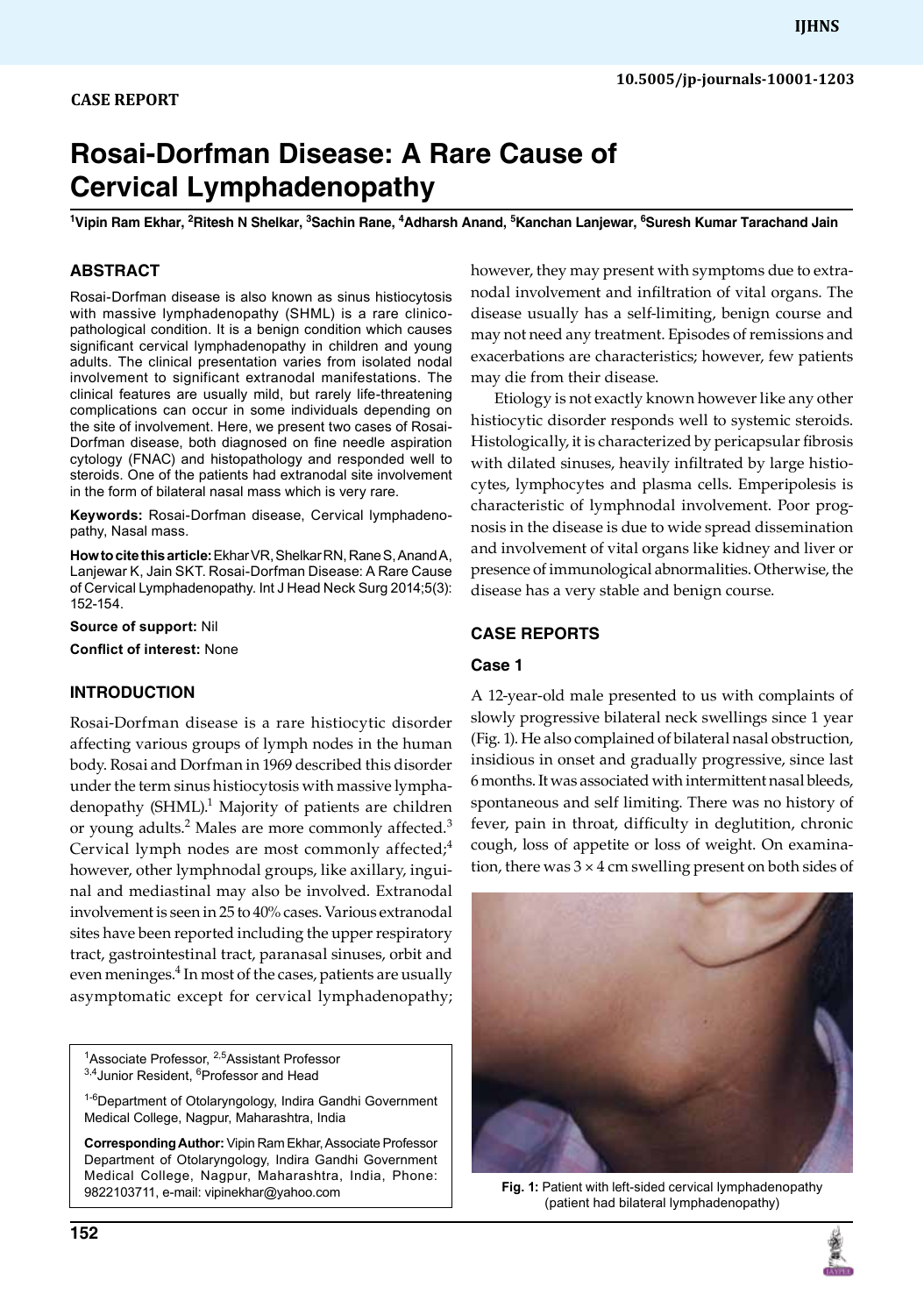# **Rosai-Dorfman Disease: A Rare Cause of Cervical Lymphadenopathy**

<sup>1</sup>Vipin Ram Ekhar, <sup>2</sup>Ritesh N Shelkar, <sup>3</sup>Sachin Rane, <sup>4</sup>Adharsh Anand, <sup>5</sup>Kanchan Lanjewar, <sup>6</sup>Suresh Kumar Tarachand Jain

# **ABSTRACT**

Rosai-Dorfman disease is also known as sinus histiocytosis with massive lymphadenopathy (SHML) is a rare clinicopathological condition. It is a benign condition which causes significant cervical lymphadenopathy in children and young adults. The clinical presentation varies from isolated nodal involvement to significant extranodal manifestations. The clinical features are usually mild, but rarely life-threatening complications can occur in some individuals depending on the site of involvement. Here, we present two cases of Rosai-Dorfman disease, both diagnosed on fine needle aspiration cytology (FNAC) and histopathology and responded well to steroids. One of the patients had extranodal site involvement in the form of bilateral nasal mass which is very rare.

Keywords: Rosai-Dorfman disease, Cervical lymphadenopathy, Nasal mass.

**How to cite this article:** Ekhar VR, Shelkar RN, Rane S, Anand A, Lanjewar K, Jain SKT. Rosai-Dorfman Disease: A Rare Cause of Cervical Lymphadenopathy. Int J Head Neck Surg 2014;5(3): 152-154.

**Source of support:** Nil

**Conflict of interest:** None

# **Introduction**

Rosai-Dorfman disease is a rare histiocytic disorder affecting various groups of lymph nodes in the human body. Rosai and Dorfman in 1969 described this disorder under the term sinus histiocytosis with massive lymphadenopathy (SHML).<sup>1</sup> Majority of patients are children or young adults.<sup>2</sup> Males are more commonly affected.<sup>3</sup> Cervical lymph nodes are most commonly affected; $4$ however, other lymphnodal groups, like axillary, inguinal and mediastinal may also be involved. Extranodal involvement is seen in 25 to 40% cases. Various extranodal sites have been reported including the upper respiratory tract, gastrointestinal tract, paranasal sinuses, orbit and even meninges.<sup>4</sup> In most of the cases, patients are usually asymptomatic except for cervical lymphadenopathy;

<sup>1</sup>Associate Professor, <sup>2,5</sup>Assistant Professor <sup>3,4</sup> Junior Resident, <sup>6</sup> Professor and Head

<sup>1-6</sup>Department of Otolaryngology, Indira Gandhi Government Medical College, Nagpur, Maharashtra, India

**Corresponding Author:** Vipin Ram Ekhar, Associate Professor Department of Otolaryngology, Indira Gandhi Government Medical College, Nagpur, Maharashtra, India, Phone: 9822103711, e-mail: vipinekhar@yahoo.com

however, they may present with symptoms due to extranodal involvement and infiltration of vital organs. The disease usually has a self-limiting, benign course and may not need any treatment. Episodes of remissions and exacerbations are characteristics; however, few patients may die from their disease.

Etiology is not exactly known however like any other histiocytic disorder responds well to systemic steroids. Histologically, it is characterized by pericapsular fibrosis with dilated sinuses, heavily infiltrated by large histiocytes, lymphocytes and plasma cells. Emperipolesis is characteristic of lymphnodal involvement. Poor prognosis in the disease is due to wide spread dissemination and involvement of vital organs like kidney and liver or presence of immunological abnormalities. Otherwise, the disease has a very stable and benign course.

## **CASE reports**

## **Case 1**

A 12-year-old male presented to us with complaints of slowly progressive bilateral neck swellings since 1 year (Fig. 1). He also complained of bilateral nasal obstruction, insidious in onset and gradually progressive, since last 6 months. It was associated with intermittent nasal bleeds, spontaneous and self limiting. There was no history of fever, pain in throat, difficulty in deglutition, chronic cough, loss of appetite or loss of weight. On examination, there was  $3 \times 4$  cm swelling present on both sides of



**Fig. 1:** Patient with left-sided cervical lymphadenopathy (patient had bilateral lymphadenopathy)

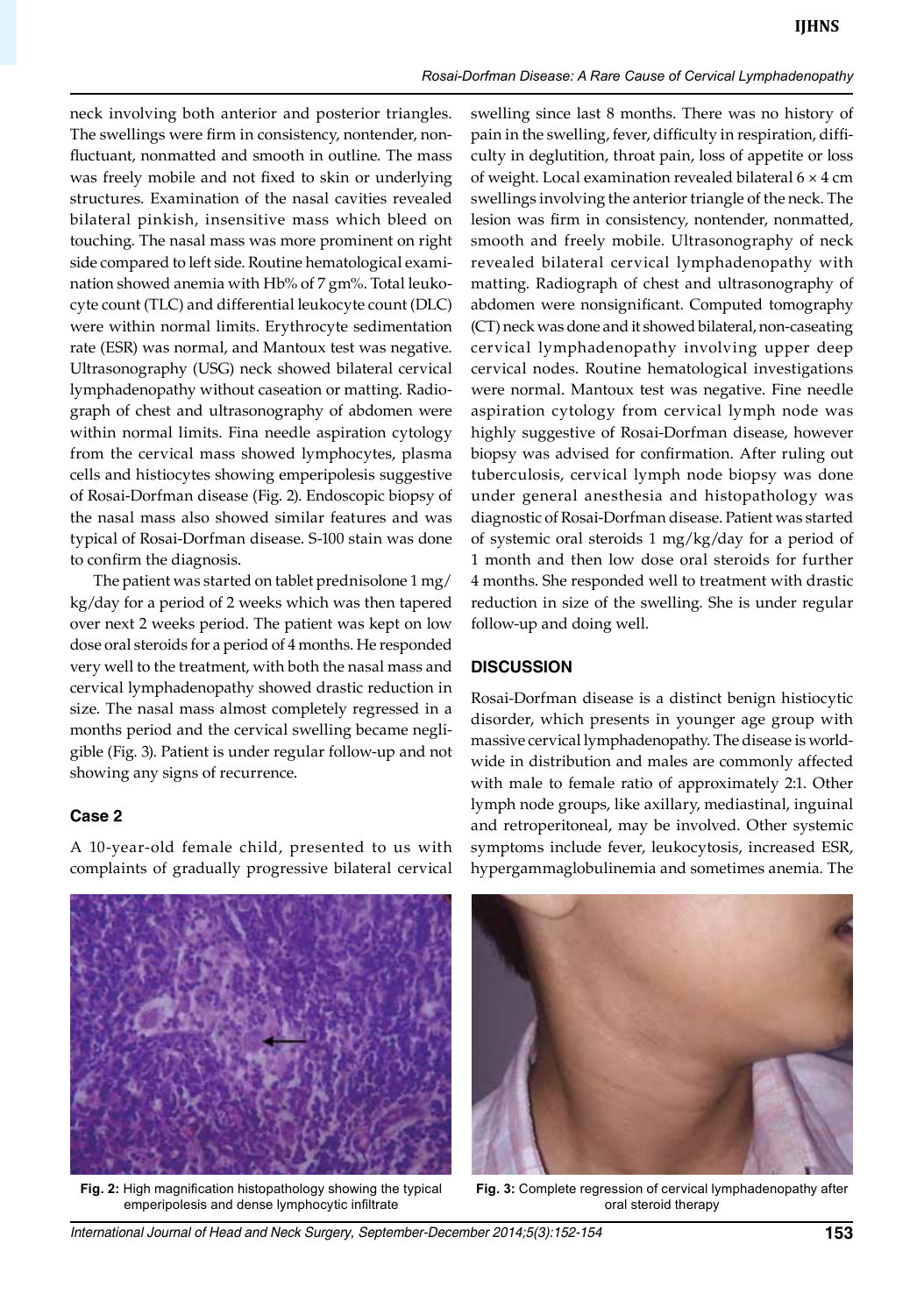#### *Rosai-Dorfman Disease: A Rare Cause of Cervical Lymphadenopathy*

neck involving both anterior and posterior triangles. The swellings were firm in consistency, nontender, nonfluctuant, nonmatted and smooth in outline. The mass was freely mobile and not fixed to skin or underlying structures. Examination of the nasal cavities revealed bilateral pinkish, insensitive mass which bleed on touching. The nasal mass was more prominent on right side compared to left side. Routine hematological examination showed anemia with Hb% of 7 gm%. Total leukocyte count (TLC) and differential leukocyte count (DLC) were within normal limits. Erythrocyte sedimentation rate (ESR) was normal, and Mantoux test was negative. Ultrasonography (USG) neck showed bilateral cervical lymphadenopathy without caseation or matting. Radiograph of chest and ultrasonography of abdomen were within normal limits. Fina needle aspiration cytology from the cervical mass showed lymphocytes, plasma cells and histiocytes showing emperipolesis suggestive of Rosai-Dorfman disease (Fig. 2). Endoscopic biopsy of the nasal mass also showed similar features and was typical of Rosai-Dorfman disease. S-100 stain was done to confirm the diagnosis.

The patient was started on tablet prednisolone 1 mg/ kg/day for a period of 2 weeks which was then tapered over next 2 weeks period. The patient was kept on low dose oral steroids for a period of 4 months. He responded very well to the treatment, with both the nasal mass and cervical lymphadenopathy showed drastic reduction in size. The nasal mass almost completely regressed in a months period and the cervical swelling became negligible (Fig. 3). Patient is under regular follow-up and not showing any signs of recurrence.

## **Case 2**

A 10-year-old female child, presented to us with complaints of gradually progressive bilateral cervical swelling since last 8 months. There was no history of pain in the swelling, fever, difficulty in respiration, difficulty in deglutition, throat pain, loss of appetite or loss of weight. Local examination revealed bilateral 6 × 4 cm swellings involving the anterior triangle of the neck. The lesion was firm in consistency, nontender, nonmatted, smooth and freely mobile. Ultrasonography of neck revealed bilateral cervical lymphadenopathy with matting. Radiograph of chest and ultrasonography of abdomen were nonsignificant. Computed tomography (CT) neck was done and it showed bilateral, non-caseating cervical lymphadenopathy involving upper deep cervical nodes. Routine hematological investigations were normal. Mantoux test was negative. Fine needle aspiration cytology from cervical lymph node was highly suggestive of Rosai-Dorfman disease, however biopsy was advised for confirmation. After ruling out tuberculosis, cervical lymph node biopsy was done under general anesthesia and histopathology was diagnostic of Rosai-Dorfman disease. Patient was started of systemic oral steroids 1 mg/kg/day for a period of 1 month and then low dose oral steroids for further 4 months. She responded well to treatment with drastic reduction in size of the swelling. She is under regular follow-up and doing well.

#### **DISCUSSION**

Rosai-Dorfman disease is a distinct benign histiocytic disorder, which presents in younger age group with massive cervical lymphadenopathy. The disease is worldwide in distribution and males are commonly affected with male to female ratio of approximately 2:1. Other lymph node groups, like axillary, mediastinal, inguinal and retroperitoneal, may be involved. Other systemic symptoms include fever, leukocytosis, increased ESR, hypergammaglobulinemia and sometimes anemia. The



**Fig. 2:** High magnification histopathology showing the typical emperipolesis and dense lymphocytic infiltrate



**Fig. 3:** complete regression of cervical lymphadenopathy after oral steroid therapy